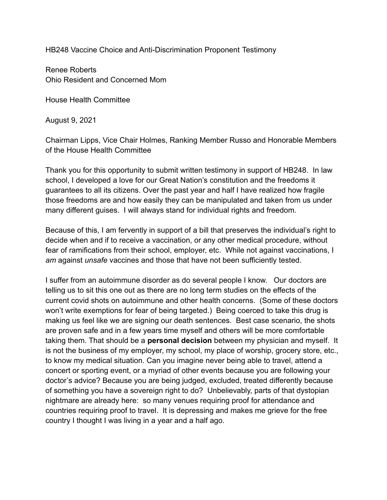HB248 Vaccine Choice and Anti-Discrimination Proponent Testimony

Renee Roberts Ohio Resident and Concerned Mom

House Health Committee

August 9, 2021

Chairman Lipps, Vice Chair Holmes, Ranking Member Russo and Honorable Members of the House Health Committee

Thank you for this opportunity to submit written testimony in support of HB248. In law school, I developed a love for our Great Nation's constitution and the freedoms it guarantees to all its citizens. Over the past year and half I have realized how fragile those freedoms are and how easily they can be manipulated and taken from us under many different guises. I will always stand for individual rights and freedom.

Because of this, I am fervently in support of a bill that preserves the individual's right to decide when and if to receive a vaccination, or any other medical procedure, without fear of ramifications from their school, employer, etc. While not against vaccinations, I *am* against *unsafe* vaccines and those that have not been sufficiently tested.

I suffer from an autoimmune disorder as do several people I know. Our doctors are telling us to sit this one out as there are no long term studies on the effects of the current covid shots on autoimmune and other health concerns. (Some of these doctors won't write exemptions for fear of being targeted.) Being coerced to take this drug is making us feel like we are signing our death sentences. Best case scenario, the shots are proven safe and in a few years time myself and others will be more comfortable taking them. That should be a **personal decision** between my physician and myself. It is not the business of my employer, my school, my place of worship, grocery store, etc., to know my medical situation. Can you imagine never being able to travel, attend a concert or sporting event, or a myriad of other events because you are following your doctor's advice? Because you are being judged, excluded, treated differently because of something you have a sovereign right to do? Unbelievably, parts of that dystopian nightmare are already here: so many venues requiring proof for attendance and countries requiring proof to travel. It is depressing and makes me grieve for the free country I thought I was living in a year and a half ago.